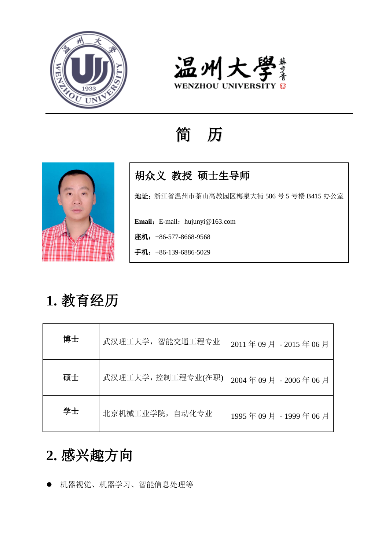



## 简 历



### 胡众义 教授 硕士生导师

地址:浙江省温州市茶山高教园区梅泉大街 586 号 5 号楼 B415 办公室

**Email:** E-mail: hujunyi@163.com

座机: +86-577-8668-9568

手机: +86-139-6886-5029

# **1.** 教育经历

| 博士 | 武汉理工大学,智能交通工程专业   | 2011年09月-2015年06月   |
|----|-------------------|---------------------|
| 硕士 | 武汉理工大学,控制工程专业(在职) | 2004年09月 - 2006年06月 |
| 学士 | 北京机械工业学院, 自动化专业   | 1995年09月-1999年06月   |

## **2.** 感兴趣方向

机器视觉、机器学习、智能信息处理等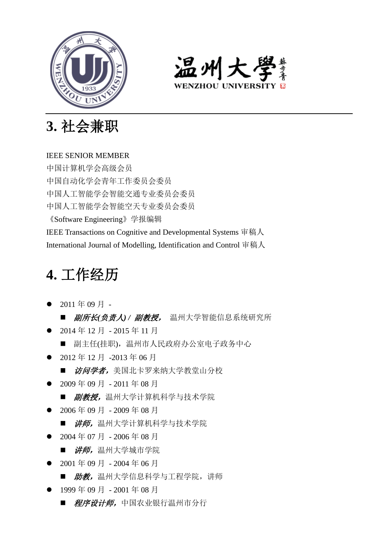



**3.** 社会兼职

#### IEEE SENIOR MEMBER

中国计算机学会高级会员 中国自动化学会青年工作委员会委员 中国人工智能学会智能交通专业委员会委员 中国人工智能学会智能空天专业委员会委员 《Software Engineering》学报编辑 IEEE Transactions on Cognitive and Developmental Systems 审稿人 International Journal of Modelling, Identification and Control 审稿人

### **4.** 工作经历

- $2011$  年 09 月 ■ *副所长(负责人)/ 副教授,* 温州大学智能信息系统研究所
- 2014年12月 2015年11月
	- 副主任(挂职), 温州市人民政府办公室电子政务中心
- 2012年12月 -2013年06月
	- 访问学者,美国北卡罗来纳大学教堂山分校
- 2009年09月 2011年08月
	- *副教授,* 温州大学计算机科学与技术学院
- 2006年09月 2009年08月
	- *讲师,*温州大学计算机科学与技术学院
- 2004年07月 2006年08月
	- 讲师, 温州大学城市学院
- 2001年09月 2004年06月
	- *助教,* 温州大学信息科学与工程学院, 讲师
- 1999 年 09 月 2001 年 08 月
	- *程序设计师,*中国农业银行温州市分行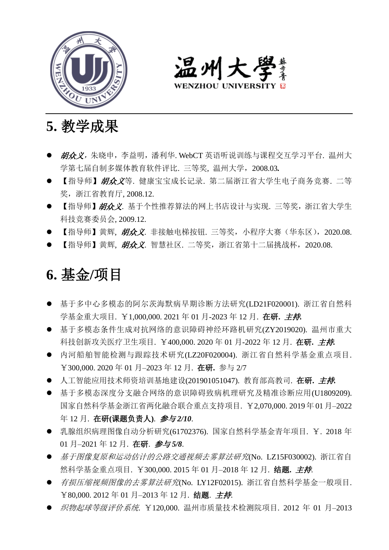



- **5.** 教学成果
- *胡众义,*朱晓申,李益明,潘利华. WebCT 英语听说训练与课程交互学习平台. 温州大 学第七届自制多媒体教育软件评比. 三等奖, 温州大学,2008.03*.*
- 【指导师】胡众义等. 健康宝宝成长记录. 第二届浙江省大学生电子商务竞赛. 二等 奖,浙江省教育厅, 2008.12.
- 【指导师】胡众义. 基于个性推荐算法的网上书店设计与实现. 三等奖, 浙江省大学生 科技竞赛委员会, 2009.12.
- 【指导师】黄辉, 胡众义, 非接触电梯按钮, 三等奖, 小程序大赛 (华东区), 2020.08.
- 【指导师】黄辉, 胡众义. 智慧社区. 二等奖, 浙江省第十二届挑战杯, 2020.08.

### **6.** 基金**/**项目

- 基于多中心多模态的阿尔茨海默病早期诊断方法研究(LD21F020001). 浙江省自然科 学基金重大项目. ¥1,000,000. 2021 年 01 月-2023 年 12 月. 在研**.** 主持*.*
- 基于多模态条件生成对抗网络的意识障碍神经环路机研究(ZY2019020). 温州市重大 科技创新攻关医疗卫生项目. ¥400,000. 2020 年 01 月-2022 年 12 月. 在研**.** 主持*.*
- 内河船舶智能检测与跟踪技术研究(LZ20F020004). 浙江省自然科学基金重点项目. ¥300,000. 2020 年 01 月–2023 年 12 月. 在研**.** 参与 2/7
- 人工智能应用技术师资培训基地建设(201901051047). 教育部高教司. 在研**.** 主持*.*
- 基于多模态深度分支融合网络的意识障碍致病机理研究及精准诊断应用(U1809209). 国家自然科学基金浙江省两化融合联合重点支持项目. ¥2,070,000. 2019年01月–2022 年 12 月. 在研**(**课题负责人**)**. 参与 *2/10*.
- 乳腺组织病理图像自动分析研究(61702376). 国家自然科学基金青年项目. ¥. 2018 年 01 月–2021 年 12 月. 在研. 参与 *5/8*.
- 基于图像复原和运动估计的公路交通视频去雾算法研究(No. LZ15F030002). 浙江省自 然科学基金重点项目. ¥300,000. 2015 年 01 月–2018 年 12 月. 结题**.** 主持.
- *有损压缩视频图像的去雾算法研究(No. LY12F02015)*. 浙江省自然科学基金一般项目. ¥80,000. 2012 年 01 月–2013 年 12 月. 结题. 主持.
- *织物起球等级评价系统*. ¥120,000. 温州市质量技术检测院项目. 2012 年 01 月-2013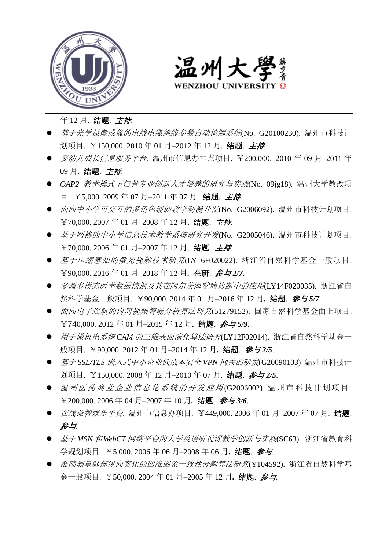



年 12 月. 结题. 主持.

- **基于光学显微成像的电线电缆绝缘参数自动检测系统(No. G20100230)**. 温州市科技计 划项目. ¥150,000, 2010年 01 月-2012年 12 月. 结题. *主持*.
- *婴幼儿成长信息服务平台*. 温州市信息办重点项目. ¥200,000. 2010 年 09 月-2011 年 09 月*.* 结题. 主持.
- *OAP2* 教学模式下信管专业创新人才培养的研究与实践(No. 09jg18)*.* 温州大学教改项 目. ¥5,000. 2009 年 07 月–2011 年 07 月. 结题. 主持.
- 面向中小学可交互的多角色辅助教学动漫开发(No. G2006092)*.* 温州市科技计划项目. ¥70,000. 2007 年 01 月–2008 年 12 月. 结题. 主持.
- 基于网格的中小学信息技术教学系统研究开发(No. G2005046)*.* 温州市科技计划项目. ¥70,000, 2006年 01 月-2007年 12 月. 结题. *主持*.
- 基于压缩感知的微光视频技术研究(LY16F020022). 浙江省自然科学基金一般项目. ¥90,000. 2016 年 01 月–2018 年 12 月*.* 在研. 参与 *2/7*.
- 多源多模态医学数据挖掘及其在阿尔茨海默病诊断中的应用(LY14F020035). 浙江省自 然科学基金一般项目. ¥90,000. 2014 年 01 月–2016 年 12 月*.* 结题. 参与 *5/7*.
- 面向电子巡航的内河视频智能分析算法研究(51279152). 国家自然科学基金面上项目. ¥740,000. 2012 年 01 月–2015 年 12 月*.* 结题. 参与 *5/9*.
- 用于微机电*系统 CAM 的三维表面演化算法研究(LY12F02014)*. 浙江省自然科学基金一 般项目. ¥90,000. 2012 年 01 月–2014 年 12 月*.* 结题. 参与 *2/5*.
- **基于 SSL/TLS 嵌入式中小企业低成本安全 VPN 网关的研发(G20090103)** 温州市科技计 划项目. ¥150,000. 2008 年 12 月–2010 年 07 月*.* 结题. 参与 *2/5*.
- 温州医药商业企业信息化系统的开发应用(G2006002) 温州市科技计划项目. ¥200,000. 2006 年 04 月–2007 年 10 月*.* 结题. 参与 *3/6*.
- *在线益智娱乐平台*. 温州市信息办项目. ¥449,000. 2006年 01月-2007年 07月. 结题. 参与.
- 基于 *MSN* 和 *WebCT* 网络平台的大学英语听说课教学创新与实践(SC63). 浙江省教育科 学规划项目. ¥5,000. 2006 年 06 月–2008 年 06 月*.* 结题. 参与.
- 准确测量脑部纵向变化的四维图象一致性分割算法研究(Y104592). 浙江省自然科学基 金一般项目. ¥50,000. 2004 年 01 月–2005 年 12 月*.* 结题. 参与.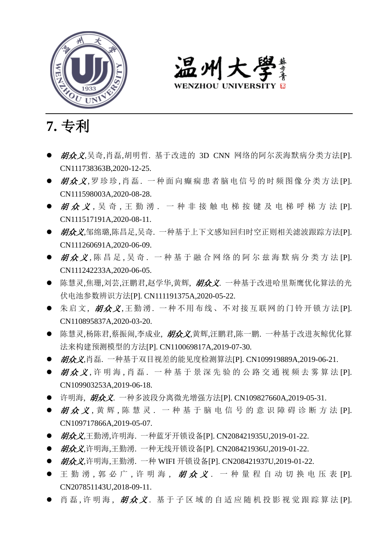

温州大學 **WENZHOU UNIVERSIT** 

**7.** 专利

- 胡众义,吴奇,肖磊,胡明哲. 基于改进的 3D CNN 网络的阿尔茨海默病分类方法[P]. CN111738363B,2020-12-25.
- 胡众义.罗珍珍.肖磊. 一种面向癫痫患者脑电信号的时频图像分类方法[P]. CN111598003A,2020-08-28.
- 胡众 义 . 吴 奇 . 王 勤 湧 . 一 种 非 接 触 电 梯 按 键 及 电 梯 呼 梯 方 法 IPI. CN111517191A,2020-08-11.
- *胡众义*,邹绵璐,陈昌足,吴奇. 一种基于上下文感知回归时空正则相关滤波跟踪方法[P]. CN111260691A,2020-06-09.
- 胡众义,陈昌足,吴奇. 一种基于融合网络的阿尔兹海默病分类方法 [P]. CN111242233A,2020-06-05.
- 陈慧灵,焦珊,刘芸,汪鹏君,赵学华,黄辉, 胡众义. 一种基于改进哈里斯鹰优化算法的光 伏电池参数辨识方法[P]. CN111191375A,2020-05-22.
- 朱启文, 胡众义,王勤湧. 一种不用布线、不对接互联网的门铃开锁方法 [P]. CN110895837A,2020-03-20.
- 陈慧灵,杨陈君,蔡振闹,李成业, 胡众义,黄辉,汪鹏君,陈一鹏. 一种基于改进灰鲸优化算 法来构建预测模型的方法[P]. CN110069817A,2019-07-30.
- *胡众义*,肖磊. 一种基于双目视差的能见度检测算法[P]. CN109919889A,2019-06-21.
- 胡众义,许明海,肖磊. 一种基于景深先验的公路交通视频去雾算法 [P]. CN109903253A,2019-06-18.
- 许明海, 胡众义. 一种多波段分离微光增强方法[P]. CN109827660A,2019-05-31.
- 胡众义,黄辉,陈慧灵. 一种基于脑电信号的意识障碍诊断方法[P]. CN109717866A,2019-05-07.
- *胡众义*,王勤湧,许明海. 一种蓝牙开锁设备[P]. CN208421935U,2019-01-22.
- *胡众义*,许明海,王勤湧. 一种无线开锁设备[P]. CN208421936U,2019-01-22.
- *胡众义*,许明海,王勤湧. 一种 WIFI 开锁设备[P]. CN208421937U,2019-01-22.
- 王勤湧, 郭必广, 许明海, 胡众义. 一种量程自动切换电压表 [P]. CN207851143U,2018-09-11.
- 肖磊,许明海, 胡众义. 基于子区域的自适应随机投影视觉跟踪算法 [P].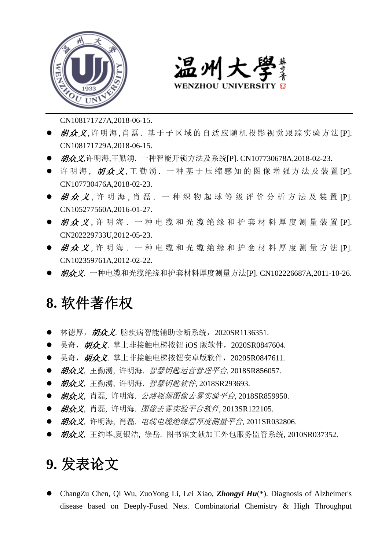



CN108171727A,2018-06-15.

- 胡众义.许明海.肖磊. 基于子区域的自适应随机投影视觉跟踪实验方法[P]. CN108171729A,2018-06-15.
- *胡众义*,许明海,王勤湧. 一种智能开锁方法及系统[P]. CN107730678A,2018-02-23.
- 许明海, 胡众义,王勤湧. 一种基于压缩感知的图像增强方法及装置 [P]. CN107730476A,2018-02-23.
- 胡众义. 许明海, 肖磊, 一种织物起球等级评价分析方法及装置 [P]. CN105277560A,2016-01-27.
- 胡众义,许明海. 一种电缆和光缆绝缘和护套材料厚度测量装置 [P]. CN202229733U,2012-05-23.
- 胡众 义. 许 明 海. 一 种 电 缆 和 光 缆 绝 缘 和 护 套 材 料 厚 度 测 量 方 法 IPI. CN102359761A,2012-02-22.
- *胡众义*. 一种电缆和光缆绝缘和护套材料厚度测量方法[P]. CN102226687A,2011-10-26.

### **8.** 软件著作权

- 林德厚, 胡众义. 脑疾病智能辅助诊断系统, 2020SR1136351.
- 吴奇, 胡众义. 掌上非接触电梯按钮 iOS 版软件, 2020SR0847604.
- 吴奇, 胡众义. 掌上非接触电梯按钮安卓版软件, 2020SR0847611.
- 胡众义, 王勤湧, 许明海. 智慧钥匙运营管理平台, 2018SR856057.
- 胡众义, 王勤湧, 许明海. 智慧钥匙软件, 2018SR293693.
- 胡众义, 肖磊, 许明海, *公路视频图像去雾实验平台*, 2018SR859950.
- 胡众义, 肖磊, 许明海, 图像去雾实验平台软件, 2013SR122105.
- 胡众义, 许明海, 肖磊, 电线电缆绝缘层厚度测量平台, 2011SR032806.
- *胡众义*, 王约毕,夏银洁, 徐岳. 图书馆文献加工外包服务监管系统, 2010SR037352.

## **9.** 发表论文

 ChangZu Chen, Qi Wu, ZuoYong Li, Lei Xiao, *Zhongyi Hu*(\*). Diagnosis of Alzheimer's disease based on Deeply-Fused Nets. Combinatorial Chemistry & High Throughput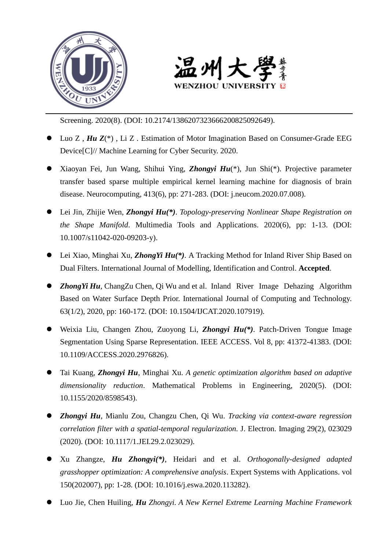



Screening. 2020(8). (DOI: 10.2174/1386207323666200825092649).

- Luo Z , *Hu Z*(\*) , Li Z . Estimation of Motor Imagination Based on Consumer-Grade EEG Device[C]// Machine Learning for Cyber Security. 2020.
- Xiaoyan Fei, Jun Wang, Shihui Ying, *Zhongyi Hu*(\*), Jun Shi(\*). Projective parameter transfer based sparse multiple empirical kernel learning machine for diagnosis of brain disease. Neurocomputing, 413(6), pp: 271-283. (DOI: j.neucom.2020.07.008).
- Lei Jin, Zhijie Wen, *Zhongyi Hu(\*)*. *Topology-preserving Nonlinear Shape Registration on the Shape Manifold*. Multimedia Tools and Applications. 2020(6), pp: 1-13. (DOI: 10.1007/s11042-020-09203-y).
- Lei Xiao, Minghai Xu, *ZhongYi Hu(\*)*. A Tracking Method for Inland River Ship Based on Dual Filters. International Journal of Modelling, Identification and Control. **Accepted**.
- **Zhong Yi Hu**, ChangZu Chen, Qi Wu and et al. Inland River Image Dehazing Algorithm Based on Water Surface Depth Prior. International Journal of Computing and Technology. 63(1/2), 2020, pp: 160-172. (DOI: 10.1504/IJCAT.2020.107919).
- Weixia Liu, Changen Zhou, Zuoyong Li, *Zhongyi Hu(\*)*. Patch-Driven Tongue Image Segmentation Using Sparse Representation. IEEE ACCESS. Vol 8, pp: 41372-41383. (DOI: 10.1109/ACCESS.2020.2976826).
- Tai Kuang, *Zhongyi Hu*, Minghai Xu. *A genetic optimization algorithm based on adaptive dimensionality reduction*. Mathematical Problems in Engineering, 2020(5). (DOI: 10.1155/2020/8598543).
- *Zhongyi Hu*, Mianlu Zou, Changzu Chen, Qi Wu. *Tracking via context-aware regression correlation filter with a spatial-temporal regularization.* J. Electron. Imaging 29(2), 023029 (2020). (DOI: 10.1117/1.JEI.29.2.023029).
- Xu Zhangze, *Hu Zhongyi(\*)*, Heidari and et al. *Orthogonally-designed adapted grasshopper optimization: A comprehensive analysis*. Expert Systems with Applications. vol 150(202007), pp: 1-28. (DOI: 10.1016/j.eswa.2020.113282).
- Luo Jie, Chen Huiling, *Hu Zhongyi. A New Kernel Extreme Learning Machine Framework*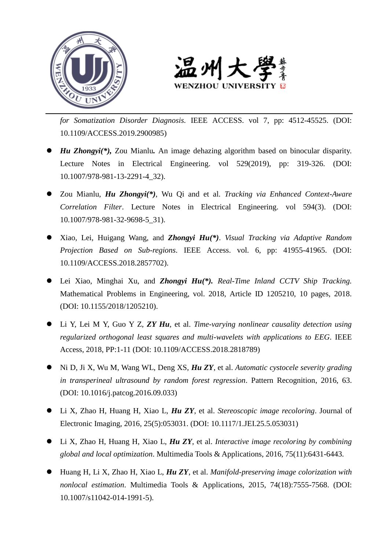



*for Somatization Disorder Diagnosis.* IEEE ACCESS. vol 7, pp: 4512-45525. (DOI: 10.1109/ACCESS.2019.2900985)

- *Hu Zhongyi(\*),* Zou Mianlu*.* An image dehazing algorithm based on binocular disparity. Lecture Notes in Electrical Engineering. vol 529(2019), pp: 319-326. (DOI: 10.1007/978-981-13-2291-4\_32).
- Zou Mianlu, *Hu Zhongyi(\*)*, Wu Qi and et al. *Tracking via Enhanced Context-Aware Correlation Filter*. Lecture Notes in Electrical Engineering. vol 594(3). (DOI: 10.1007/978-981-32-9698-5\_31).
- Xiao, Lei, Huigang Wang, and *Zhongyi Hu(\*)*. *Visual Tracking via Adaptive Random Projection Based on Sub-regions*. IEEE Access. vol. 6, pp: 41955-41965. (DOI: 10.1109/ACCESS.2018.2857702).
- Lei Xiao, Minghai Xu, and *Zhongyi Hu(\*). Real-Time Inland CCTV Ship Tracking.* Mathematical Problems in Engineering, vol. 2018, Article ID 1205210, 10 pages, 2018. (DOI: 10.1155/2018/1205210).
- Li Y, Lei M Y, Guo Y Z, *ZY Hu*, et al. *Time-varying nonlinear causality detection using regularized orthogonal least squares and multi-wavelets with applications to EEG*. IEEE Access, 2018, PP:1-11 (DOI: 10.1109/ACCESS.2018.2818789)
- Ni D, Ji X, Wu M, Wang WL, Deng XS, *Hu ZY*, et al. *Automatic cystocele severity grading in transperineal ultrasound by random forest regression*. Pattern Recognition, 2016, 63. (DOI: 10.1016/j.patcog.2016.09.033)
- Li X, Zhao H, Huang H, Xiao L, *Hu ZY*, et al. *Stereoscopic image recoloring*. Journal of Electronic Imaging, 2016, 25(5):053031. (DOI: 10.1117/1.JEI.25.5.053031)
- Li X, Zhao H, Huang H, Xiao L, *Hu ZY*, et al. *Interactive image recoloring by combining global and local optimization*. Multimedia Tools & Applications, 2016, 75(11):6431-6443.
- Huang H, Li X, Zhao H, Xiao L, *Hu ZY*, et al. *Manifold-preserving image colorization with nonlocal estimation*. Multimedia Tools & Applications, 2015, 74(18):7555-7568. (DOI: 10.1007/s11042-014-1991-5).